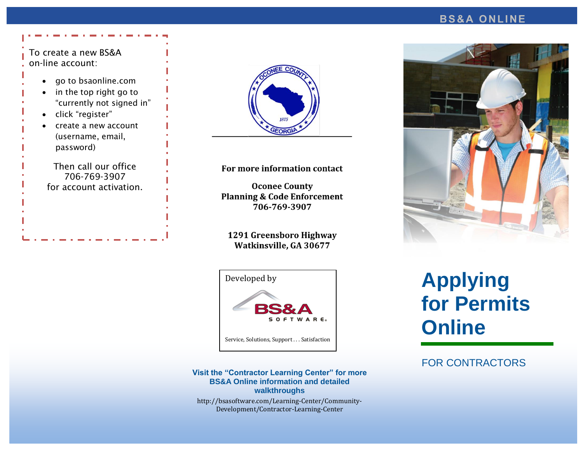#### **B S & A O N L I NE**

#### To create a new BS&A on-line account:

- go to bsaonline.com
- in the top right go to "currently not signed in"
- click "register"
- create a new account (username, email, password)

Then call our office 706-769-3907 for account activation.



#### For more information contact

**Oconee County Planning & Code Enforcement** 706-769-3907

#### 1291 Greensboro Highway Watkinsville, GA 30677



#### **Visit the "Contractor Learning Center" for more BS&A Online information and detailed walkthroughs**

http://bsasoftware.com/Learning-Center/Community-Development/Contractor-Learning-Center



# **Applying for Permits Online**

#### FOR CONTRACTORS